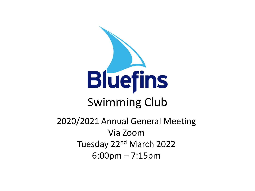

#### 2020/2021 Annual General Meeting Via Zoom Tuesday 22nd March 2022 6:00pm – 7:15pm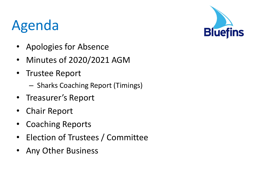# Agenda

**Bluef** ins

- Apologies for Absence
- Minutes of 2020/2021 AGM
- Trustee Report
	- Sharks Coaching Report (Timings)
- Treasurer's Report
- Chair Report
- Coaching Reports
- Election of Trustees / Committee
- Any Other Business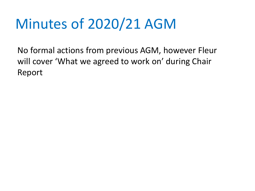## Minutes of 2020/21 AGM

No formal actions from previous AGM, however Fleur will cover 'What we agreed to work on' during Chair Report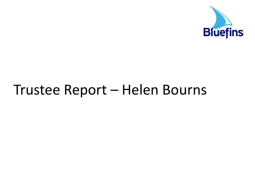

### Trustee Report – Helen Bourns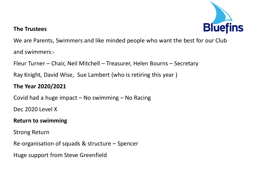# **Bluefins**

#### **The Trustees**

We are Parents, Swimmers and like minded people who want the best for our Club and swimmers:-

Fleur Turner – Chair, Neil Mitchell – Treasurer, Helen Bourns – Secretary

Ray Knight, David Wise, Sue Lambert (who is retiring this year )

#### **The Year 2020/2021**

Covid had a huge impact – No swimming – No Racing

Dec 2020 Level X

#### **Return to swimming**

Strong Return

Re-organisation of squads & structure – Spencer

Huge support from Steve Greenfield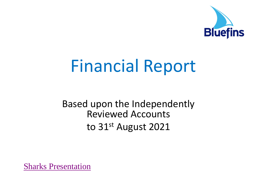

# <span id="page-5-0"></span>Financial Report

#### Based upon the Independently Reviewed Accounts to 31st August 2021

[Sharks Presentation](#page-21-0)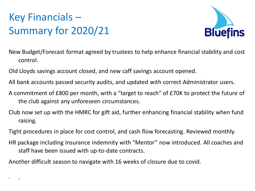### Key Financials – Summary for 2020/21

• .



- New Budget/Forecast format agreed by trustees to help enhance financial stability and cost control.
- Old Lloyds savings account closed, and new caff savings account opened.
- All bank accounts passed security audits, and updated with correct Administrator users.
- A commitment of £800 per month, with a "target to reach" of £70K to protect the future of the club against any unforeseen circumstances.
- Club now set up with the HMRC for gift aid, further enhancing financial stability when fund raising.
- Tight procedures in place for cost control, and cash flow forecasting. Reviewed monthly.
- HR package including Insurance indemnity with "Mentor" now introduced. All coaches and staff have been issued with up-to-date contracts.
- Another difficult season to navigate with 16 weeks of closure due to covid.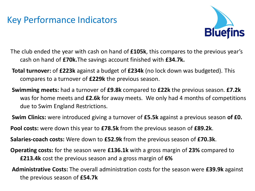#### Key Performance Indicators



The club ended the year with cash on hand of **£105k**, this compares to the previous year's cash on hand of **£70k.**The savings account finished with **£34.7k.**

- **Total turnover:** of **£223k** against a budget of **£234k** (no lock down was budgeted). This compares to a turnover of **£229k** the previous season.
- **Swimming meets:** had a turnover of **£9.8k** compared to **£22k** the previous season. **£7.2k** was for home meets and **£2.6k** for away meets. We only had 4 months of competitions due to Swim England Restrictions.
- **Swim Clinics:** were introduced giving a turnover of **£5.5k** against a previous season **of £0.**

**Pool costs:** were down this year to **£78.5k** from the previous season of **£89.2k**.

**Salaries-coach costs:** Were down to **£52.9k** from the previous season of **£70.3k**.

- **Operating costs:** for the season were **£136.1k** with a gross margin of **23%** compared to **£213.4k** cost the previous season and a gross margin of **6%**
- **Administrative Costs:** The overall administration costs for the season were **£39.9k** against the previous season of **£54.7k**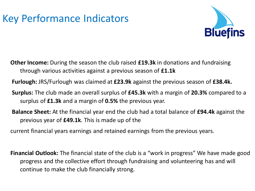### Key Performance Indicators



**Other Income:** During the season the club raised **£19.3k** in donations and fundraising through various activities against a previous season of **£1.1k**

**Furlough:** JRS/Furlough was claimed at **£23.9k** against the previous season of **£38.4k.**

- **Surplus:** The club made an overall surplus of **£45.3k** with a margin of **20.3%** compared to a surplus of **£1.3k** and a margin of **0.5%** the previous year.
- **Balance Sheet:** At the financial year end the club had a total balance of **£94.4k** against the previous year of **£49.1k**. This is made up of the

current financial years earnings and retained earnings from the previous years.

**Financial Outlook:** The financial state of the club is a "work in progress" We have made good progress and the collective effort through fundraising and volunteering has and will continue to make the club financially strong.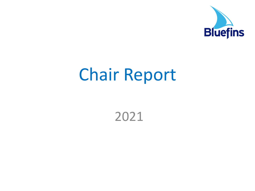

### 2021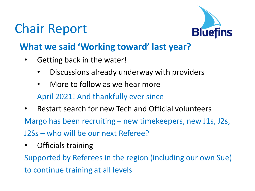

#### **What we said 'Working toward' last year?**

- Getting back in the water!
	- Discussions already underway with providers
	- More to follow as we hear more

April 2021! And thankfully ever since

- Restart search for new Tech and Official volunteers Margo has been recruiting – new timekeepers, new J1s, J2s, J2Ss – who will be our next Referee?
- Officials training

Supported by Referees in the region (including our own Sue) to continue training at all levels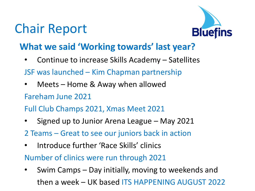

#### **What we said 'Working towards' last year?**

- Continue to increase Skills Academy Satellites JSF was launched – Kim Chapman partnership
- Meets Home & Away when allowed
- Fareham June 2021

Full Club Champs 2021, Xmas Meet 2021

- Signed up to Junior Arena League May 2021
- 2 Teams Great to see our juniors back in action
- Introduce further 'Race Skills' clinics

Number of clinics were run through 2021

• Swim Camps – Day initially, moving to weekends and then a week – UK based ITS HAPPENING AUGUST 2022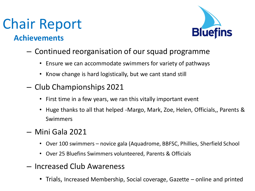#### **Achievements**



- Continued reorganisation of our squad programme
	- Ensure we can accommodate swimmers for variety of pathways
	- Know change is hard logistically, but we cant stand still
- Club Championships 2021
	- First time in a few years, we ran this vitally important event
	- Huge thanks to all that helped -Margo, Mark, Zoe, Helen, Officials,, Parents & Swimmers
- Mini Gala 2021
	- Over 100 swimmers novice gala (Aquadrome, BBFSC, Phillies, Sherfield School
	- Over 25 Bluefins Swimmers volunteered, Parents & Officials
- Increased Club Awareness
	- Trials, Increased Membership, Social coverage, Gazette online and printed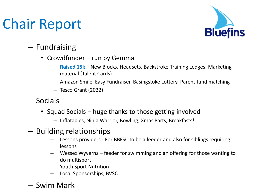

#### – Fundraising

- Crowdfunder run by Gemma
	- **Raised 15k –** New Blocks, Headsets, Backstroke Training Ledges. Marketing material (Talent Cards)
	- Amazon Smile, Easy Fundraiser, Basingstoke Lottery, Parent fund matching
	- Tesco Grant (2022)
- Socials
	- Squad Socials huge thanks to those getting involved
		- Inflatables, Ninja Warrior, Bowling, Xmas Party, Breakfasts!
- Building relationships
	- Lessons providers For BBFSC to be a feeder and also for siblings requiring lessons
	- Wessex Wyverns feeder for swimming and an offering for those wanting to do multisport
	- Youth Sport Nutrition
	- Local Sponsorships, BVSC
- Swim Mark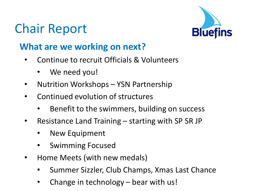

#### **What are we working on next?**

- Continue to recruit Officials & Volunteers
	- We need you!
- Nutrition Workshops YSN Partnership
- Continued evolution of structures
	- Benefit to the swimmers, building on success
- Resistance Land Training starting with SP SR JP
	- **New Equipment**
	- Swimming Focused
- Home Meets (with new medals)
	- Summer Sizzler, Club Champs, Xmas Last Chance
	- Change in technology  $-$  bear with us!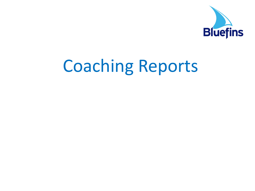

# Coaching Reports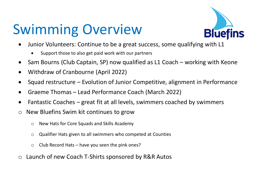# Swimming Overview



- Junior Volunteers: Continue to be a great success, some qualifying with L1
	- Support those to also get paid work with our partners
- Sam Bourns (Club Captain, SP) now qualified as L1 Coach working with Keone
- Withdraw of Cranbourne (April 2022)
- Squad restructure Evolution of Junior Competitive, alignment in Performance
- Graeme Thomas Lead Performance Coach (March 2022)
- Fantastic Coaches great fit at all levels, swimmers coached by swimmers
- o New Bluefins Swim kit continues to grow
	- o New Hats for Core Squads and Skills Academy
	- o Qualifier Hats given to all swimmers who competed at Counties
	- o Club Record Hats have you seen the pink ones?
- o Launch of new Coach T-Shirts sponsored by R&R Autos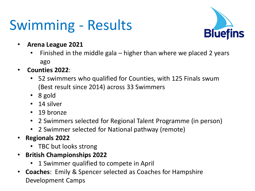# Swimming - Results



- **Arena League 2021**
	- Finished in the middle gala higher than where we placed 2 years ago
- **Counties 2022**:
	- 52 swimmers who qualified for Counties, with 125 Finals swum (Best result since 2014) across 33 Swimmers
	- 8 gold
	- 14 silver
	- 19 bronze
	- 2 Swimmers selected for Regional Talent Programme (in person)
	- 2 Swimmer selected for National pathway (remote)
- **Regionals 2022**
	- TBC but looks strong
- **British Championships 2022**
	- 1 Swimmer qualified to compete in April
- **Coaches**: Emily & Spencer selected as Coaches for Hampshire Development Camps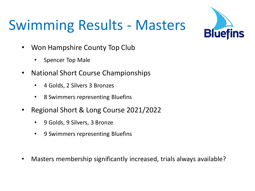# Swimming Results - Masters



- Won Hampshire County Top Club
	- Spencer Top Male
- National Short Course Championships
	- 4 Golds, 2 Silvers 3 Bronzes
	- 8 Swimmers representing Bluefins
- Regional Short & Long Course 2021/2022
	- 9 Golds, 9 Silvers, 3 Bronze
	- 9 Swimmers representing Bluefins
- Masters membership significantly increased, trials always available?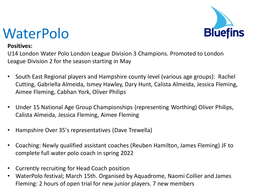### WaterPolo



#### **Positives:**

U14 London Water Polo London League Division 3 Champions. Promoted to London League Division 2 for the season starting in May

- South East Regional players and Hampshire county level (various age groups): Rachel Cutting, Gabriella Almeida, Ismey Hawley, Dary Hunt, Calista Almeida, Jessica Fleming, Aimee Fleming, Cabhan York, Oliver Philips
- Under 15 National Age Group Championships (representing Worthing) Oliver Philips, Calista Almeida, Jessica Fleming, Aimee Fleming
- Hampshire Over 35's representatives (Dave Trewella)
- Coaching: Newly qualified assistant coaches (Reuben Hamilton, James Fleming) JF to complete full water polo coach in spring 2022
- Currently recruiting for Head Coach position
- WaterPolo festival; March 15th. Organised by Aquadrome, Naomi Collier and James Fleming: 2 hours of open trial for new junior players. 7 new members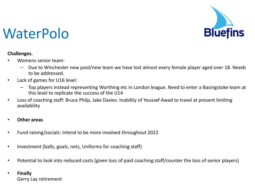

### WaterPolo

#### **Challenges.**

- Womens senior team:
	- Due to Winchester new pool/new team we have lost almost every female player aged over 18. Needs to be addressed.
- Lack of games for U16 level:
	- Top players instead representing Worthing etc in London league. Need to enter a Basingstoke team at this level to replicate the success of the U14
- Loss of coaching staff: Bruce Philp, Jake Davies. Inability of Youssef Awad to travel at present limiting availability
- **Other areas**
- Fund raising/socials: Intend to be more involved throughout 2022
- Investment (balls, goals, nets, Uniforms for coaching staff)
- Potential to look into reduced costs (given loss of paid coaching staff/counter the loss of senior players)
- **Finally** Gerry Lay retirement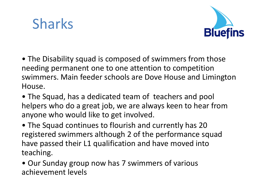<span id="page-21-0"></span>



• The Disability squad is composed of swimmers from those needing permanent one to one attention to competition swimmers. Main feeder schools are Dove House and Limington House.

• The Squad, has a dedicated team of teachers and pool helpers who do a great job, we are always keen to hear from anyone who would like to get involved.

• The Squad continues to flourish and currently has 20 registered swimmers although 2 of the performance squad have passed their L1 qualification and have moved into teaching.

• Our Sunday group now has 7 swimmers of various achievement levels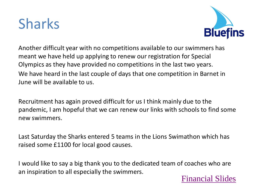### Sharks



Another difficult year with no competitions available to our swimmers has meant we have held up applying to renew our registration for Special Olympics as they have provided no competitions in the last two years. We have heard in the last couple of days that one competition in Barnet in June will be available to us.

Recruitment has again proved difficult for us I think mainly due to the pandemic, I am hopeful that we can renew our links with schools to find some new swimmers.

Last Saturday the Sharks entered 5 teams in the Lions Swimathon which has raised some £1100 for local good causes.

I would like to say a big thank you to the dedicated team of coaches who are an inspiration to all especially the swimmers. [Financial Slides](#page-5-0)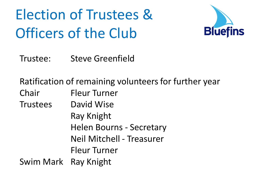# Election of Trustees & Officers of the Club



Trustee: Steve Greenfield

Ratification of remaining volunteers for further year

Chair Fleur Turner

Trustees David Wise

Ray Knight Helen Bourns - Secretary

Neil Mitchell - Treasurer

Fleur Turner

Swim Mark Ray Knight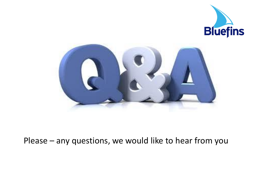



#### Please – any questions, we would like to hear from you